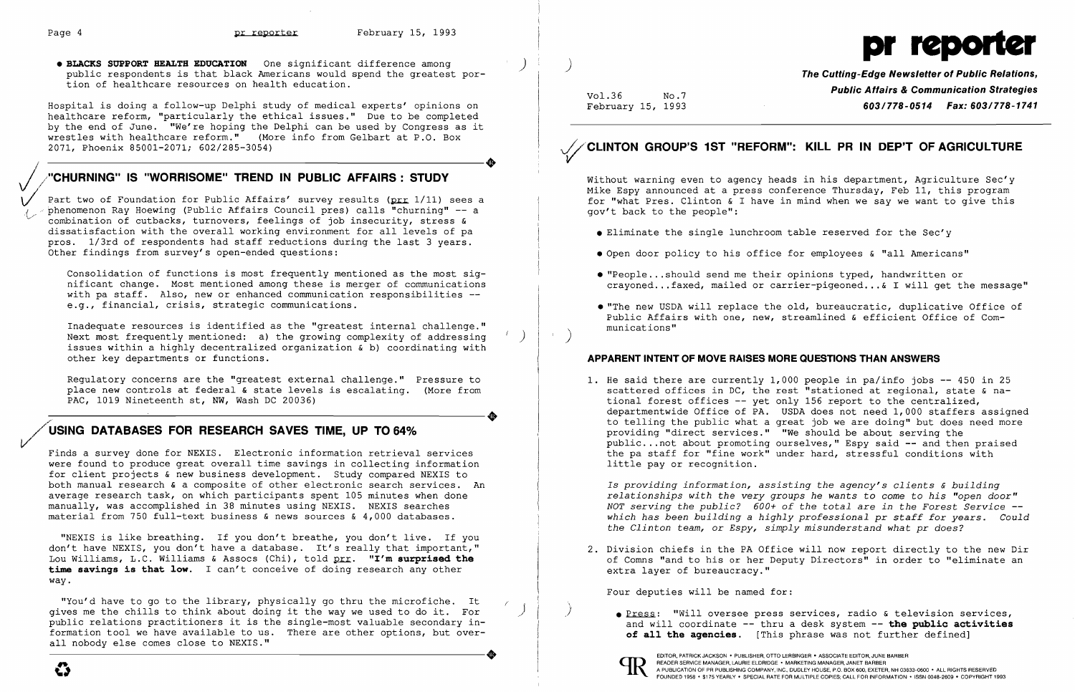

• BLACKS SUPPORT HEALTH EDUCATION One significant difference among (and the second public respondents is that black Americans would spend the greatest por The Cutting-Edge Newsletter of Public Relations, tion of healthcare resources on health education.

Hospital is doing a follow-up Delphi study of medical experts' opinions on healthcare reform, "particularly the ethical issues." Due to be completed by the end of June. We're hoping the Delphi can be used by Congress as it wrestles with healthcare reform." (More info from Gelbart at P.O. Box 2071, Phoenix 85001-2071; 602/285-3054) 2071, Phoenix 85001-2071; 602/285-3054)

### "CHURNING" IS "WORRISOME" TREND IN PUBLIC AFFAIRS: STUDY

Part two of Foundation for Public Affairs' survey results (prr 1/11) sees a phenomenon Ray Hoewing (Public Affairs Council pres) calls "churning" -- a ~' combination of cutbacks, turnovers, feelings of job insecurity, stress & dissatisfaction with the overall working environment for all levels of pa pros. 1/3rd of respondents had staff reductions during the last 3 years. .<br>Other findings from survey's open-ended questions:

Inadequate resources is identified as the "greatest internal challenge." Next most frequently mentioned: a) the growing complexity of addressing ) issues within a highly decentralized organization & b) coordinating with other key departments or functions.

Regulatory concerns are the "greatest external challenge." Pressure to place new controls at federal & state levels is escalating. (More from PAC, 1019 Nineteenth st, NW, Wash DC 20036) PAC, 1019 Nineteenth st, NW, Wash DC 20036)

## **س**ر / USING DATABASES FOR RESEARCH SAVES TIME, UP TO 64% *V·*

Consolidation of functions is most frequently mentioned as the most sig nificant change. Most mentioned among these is merger of communications mition of the communication of the communication responsibilities -e.g., financial, crisis, strategic communications.

"NEXIS is like breathing. If you don't breathe, you don't live. If you don't have NEXIS, you don't have a database. It's really that important," Lou Williams, L.C. Williams & Assocs (Chi), told prr. "I'm surprised the time savings is that low. I can't conceive of doing research any other way.

Vol.36 No.7 **Public Affairs & Communication Strategies** February 15, 1993 603/778-0514 Fax: 603/778-1741

crayoned...faxed, mailed or carrier-pigeoned... & I will get the message"

- • Eliminate the single lunchroom table reserved for the Sec'y
- Open door policy to his office for employees & "all Americans"
- "People...should send me their opinions typed, handwritten or
- munications"

• "The new USDA will replace the old, bureaucratic, duplicative Office of Public Affairs with one, new, streamlined & efficient Office of Com-

Finds a survey done for NEXIS. Electronic information retrieval services were found to produce great overall time savings in collecting information for client projects & new business development. Study compared NEXIS to both manual research & a composite of other electronic search services. An average research task, on which participants spent 105 minutes when done manually, was accomplished in 38 minutes using NEXIS. NEXIS searches material from 750 full-text business & news sources & 4,000 databases.

scattered offices in DC, the rest "stationed at regional, state & nadepartmentwide Office of PA. USDA does not need 1,000 staffers assigned to telling the public what a great job we are doing" but does need more public... not about promoting ourselves," Espy said -- and then praised the pa staff for "fine work" under hard, stressful conditions with

of Comns "and to his or her Deputy Directors" in order to "eliminate an

**• Press:** "Will oversee press services, radio & television services, and will coordinate -- thru a desk system -- the public activities of all the agencies. [This phrase was not further defined]

2. Division chiefs in the PA Office will now report directly to the new Dir extra layer of bureaucracy."

"You'd have to go to the library, physically go thru the microfiche. It qives me the chills to think about doing it the way we used to do it. For public relations practitioners it is the single-most valuable secondary information tool we have available to us. There are other options, but overall nobody else comes close to NEXIS." ----------------------+ EDITOR, PATRICK JACKSON' PUBLISHER, OTTO LERBINGER • ASSOCIATE EDITOR, JUNE BARBER

## ~~/CLINTON GROUP'S 1ST "REFORM": KILL PR IN DEP'T OF AGRICULTURE

Without warning even to agency heads in his department, Agriculture Sec'y Mike Espy announced at a press conference Thursday, Feb 11, this program for "what Pres. Clinton & I have in mind when we say we want to give this gov't back to the people":

)

#### APPARENT INTENT OF MOVE RAISES MORE QUESTIONS THAN ANSWERS

1. He said there are currently 1,000 people in pa/info jobs -- 450 in 25 tional forest offices -- yet only 156 report to the centralized, providing "direct services." "We should be about serving the little pay or recognition.

*Is providing information, assisting the agency's clients* & *building relationships with the very groups he wants* to *come* to *his "open door" NOT serving the public? 600+ of the total are in the Forest Service which has been building* a *highly professional pr staff for years. Could the Clinton team,* or *Espy, simply misunderstand what pr does?* 

Four deputies will be named for:



) \